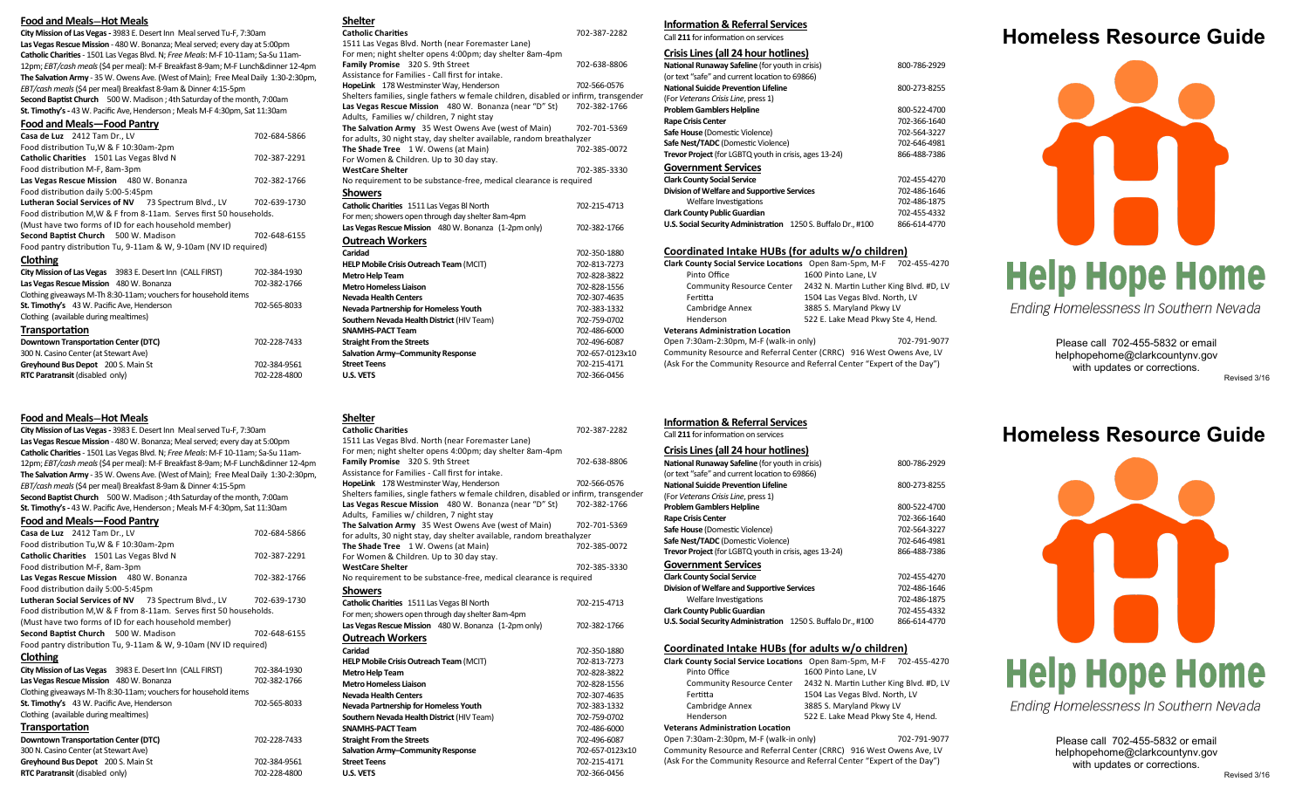#### **Food and Meals—Hot Meals**

**City Mission of Las Vegas -** 3983 E. Desert Inn Meal served Tu-F, 7:30am **Las Vegas Rescue Mission** - 480 W. Bonanza; Meal served; every day at 5:00pm **Catholic Charities**- 1501 Las Vegas Blvd. N; *Free Meals*: M-F 10-11am; Sa-Su 11am-12pm; *EBT/cash meals* (\$4 per meal): M-F Breakfast 8-9am; M-F Lunch&dinner 12-4pm **The Salvation Army** - 35 W. Owens Ave. (West of Main); Free Meal Daily 1:30-2:30pm, *EBT/cash meals*(\$4 per meal) Breakfast 8-9am & Dinner 4:15-5pm **Second Baptist Church** 500 W. Madison ; 4th Saturday of the month, 7:00am **St. Timothy's -** 43 W. Pacific Ave, Henderson ; Meals M-F 4:30pm, Sat 11:30am

### **Food and Meals—Food Pantry**

| Casa de Luz 2412 Tam Dr., LV                                        | 702-684-5866 |  |
|---------------------------------------------------------------------|--------------|--|
| Food distribution Tu, W & F 10:30am-2pm                             |              |  |
| Catholic Charities 1501 Las Vegas Blvd N                            | 702-387-2291 |  |
| Food distribution M-F, 8am-3pm                                      |              |  |
| Las Vegas Rescue Mission 480 W. Bonanza                             | 702-382-1766 |  |
| Food distribution daily 5:00-5:45pm                                 |              |  |
| Lutheran Social Services of NV 73 Spectrum Blvd., LV                | 702-639-1730 |  |
| Food distribution M, W & F from 8-11am. Serves first 50 households. |              |  |
| (Must have two forms of ID for each household member)               |              |  |
| Second Baptist Church 500 W. Madison                                | 702-648-6155 |  |
| Food pantry distribution Tu, 9-11am & W, 9-10am (NV ID required)    |              |  |
| Clothing                                                            |              |  |
| City Mission of Las Vegas 3983 E. Desert Inn (CALL FIRST)           | 702-384-1930 |  |
| Las Vegas Rescue Mission 480 W. Bonanza                             | 702-382-1766 |  |
| Clothing giveaways M-Th 8:30-11am; vouchers for household items     |              |  |
| St. Timothy's 43 W. Pacific Ave, Henderson                          | 702-565-8033 |  |
| Clothing (available during mealtimes)                               |              |  |
| <b>Transportation</b>                                               |              |  |
| <b>Downtown Transportation Center (DTC)</b>                         | 702-228-7433 |  |
| 300 N. Casino Center (at Stewart Ave)                               |              |  |
| Greyhound Bus Depot 200 S. Main St                                  | 702-384-9561 |  |

### **Food and Meals—Hot Meals**

**City Mission of Las Vegas -** 3983 E. Desert Inn Meal served Tu-F, 7:30am **Las Vegas Rescue Mission** - 480 W. Bonanza; Meal served; every day at 5:00pm **Catholic Charities**- 1501 Las Vegas Blvd. N; *Free Meals*: M-F 10-11am; Sa-Su 11am-12pm; *EBT/cash meals* (\$4 per meal): M-F Breakfast 8-9am; M-F Lunch&dinner 12-4pm **The Salvation Army** - 35 W. Owens Ave. (West of Main); Free Meal Daily 1:30-2:30pm, *EBT/cash meals*(\$4 per meal) Breakfast 8-9am & Dinner 4:15-5pm **Second Baptist Church** 500 W. Madison ; 4th Saturday of the month, 7:00am **St. Timothy's -** 43 W. Pacific Ave, Henderson ; Meals M-F 4:30pm, Sat 11:30am

**RTC Paratransit** (disabled only) 702-228-4800

#### **Food and Meals—Food Pantry**

| Casa de Luz 2412 Tam Dr., LV                                        | 702-684-5866 |  |
|---------------------------------------------------------------------|--------------|--|
| Food distribution Tu, W & F 10:30am-2pm                             |              |  |
| Catholic Charities 1501 Las Vegas Blvd N                            | 702-387-2291 |  |
| Food distribution M-F, 8am-3pm                                      |              |  |
| Las Vegas Rescue Mission 480 W. Bonanza                             | 702-382-1766 |  |
| Food distribution daily 5:00-5:45pm                                 |              |  |
| Lutheran Social Services of NV 73 Spectrum Blvd., LV 702-639-1730   |              |  |
| Food distribution M, W & F from 8-11am. Serves first 50 households. |              |  |
| (Must have two forms of ID for each household member)               |              |  |
| Second Baptist Church 500 W. Madison                                | 702-648-6155 |  |
| Food pantry distribution Tu, 9-11am & W, 9-10am (NV ID required)    |              |  |
| <b>Clothing</b>                                                     |              |  |
| City Mission of Las Vegas 3983 E. Desert Inn (CALL FIRST)           | 702-384-1930 |  |
| Las Vegas Rescue Mission 480 W. Bonanza                             | 702-382-1766 |  |
| Clothing giveaways M-Th 8:30-11am; vouchers for household items     |              |  |
| St. Timothy's 43 W. Pacific Ave, Henderson                          | 702-565-8033 |  |
| Clothing (available during mealtimes)                               |              |  |
| Transportation                                                      |              |  |
| <b>Downtown Transportation Center (DTC)</b>                         | 702-228-7433 |  |
| 300 N. Casino Center (at Stewart Ave)                               |              |  |
| Greyhound Bus Depot 200 S. Main St                                  | 702-384-9561 |  |

**RTC Paratransit** (disabled only) 702-228-4800

**Shelter**

**Shelter**

**Showers**

**Outreach Workers**

**Metro Help Team** 

1511 Las Vegas Blvd. North (near Foremaster Lane) For men; night shelter opens 4:00pm; day shelter 8am-4pm

**Las Vegas Rescue Mission** 480 W. Bonanza (near "D" St)

Assistance for Families - Call first for intake.

Adults, Families w/ children, 7 night stay

**The Shade Tree** 1 W. Owens (at Main) For Women & Children. Up to 30 day stay.

For men; showers open through day shelter 8am-4pm

**Family Promise** 320 S. 9th Street 702-638-8806

HopeLink 178 Westminster Way, Henderson 702-566-0576 Shelters families, single fathers w female children, disabled or infirm, transgender<br>Las Vegas Rescue Mission 480 W. Bonanza (near "D" St) 702-382-1766

**The Salvation Army** 35 West Owens Ave (west of Main) 702-701-5369 for adults, 30 night stay, day shelter available, random breathalyzer<br>The Shade Tree 1 W. Owens (at Main) 702-385-0072

**WestCare Shelter** 702-385-3330 No requirement to be substance-free, medical clearance is required

**Catholic Charities** 1511 Las Vegas Bl North 702-215-4713

**Las Vegas Rescue Mission** 480 W. Bonanza (1-2pm only) 702-382-1766

**HELP Mobile Crisis Outreach Team** (MCIT) 702-813-7273<br>**Metro Help Team** 702-828-3822

**Metro Homeless Liaison** 702-828-1556 **Nevada Health Centers** 702-307-4635 **Nevada Partnership for Homeless Youth** 702-383-1332 **Southern Nevada Health District** (HIV Team) 702-759-0702 **SNAMHS-PACT Team** 702-486-6000 **Straight From the Streets** 702-496-6087 Salvation Army-Community Response 702-657-0123x10 **Street Teens** 702-215-4171 **U.S. VETS** 702-366-0456

**Caridad** 702-350-1880

| <b>Catholic Charities</b>                                                            | 702-387-2282    |
|--------------------------------------------------------------------------------------|-----------------|
| 1511 Las Vegas Blvd. North (near Foremaster Lane)                                    |                 |
| For men; night shelter opens 4:00pm; day shelter 8am-4pm                             |                 |
| Family Promise 320 S. 9th Street                                                     | 702-638-8806    |
| Assistance for Families - Call first for intake.                                     |                 |
| HopeLink 178 Westminster Way, Henderson                                              | 702-566-0576    |
| Shelters families, single fathers w female children, disabled or infirm, transgender |                 |
| Las Vegas Rescue Mission 480 W. Bonanza (near "D" St)                                | 702-382-1766    |
| Adults, Families w/ children, 7 night stay                                           |                 |
| The Salvation Army 35 West Owens Ave (west of Main)                                  | 702-701-5369    |
| for adults, 30 night stay, day shelter available, random breathalyzer                |                 |
| The Shade Tree 1 W. Owens (at Main)                                                  | 702-385-0072    |
| For Women & Children. Up to 30 day stay.                                             |                 |
| <b>WestCare Shelter</b>                                                              | 702-385-3330    |
| No requirement to be substance-free, medical clearance is required                   |                 |
| <b>Showers</b>                                                                       |                 |
| Catholic Charities 1511 Las Vegas Bl North                                           | 702-215-4713    |
| For men; showers open through day shelter 8am-4pm                                    |                 |
| Las Vegas Rescue Mission 480 W. Bonanza (1-2pm only)                                 | 702-382-1766    |
| <b>Outreach Workers</b>                                                              |                 |
| Caridad                                                                              | 702-350-1880    |
| HELP Mobile Crisis Outreach Team (MCIT)                                              | 702-813-7273    |
| <b>Metro Help Team</b>                                                               | 702-828-3822    |
| <b>Metro Homeless Liaison</b>                                                        | 702-828-1556    |
| <b>Nevada Health Centers</b>                                                         | 702-307-4635    |
| Nevada Partnership for Homeless Youth                                                | 702-383-1332    |
| Southern Nevada Health District (HIV Team)                                           | 702-759-0702    |
| <b>SNAMHS-PACT Team</b>                                                              | 702-486-6000    |
| <b>Straight From the Streets</b>                                                     | 702-496-6087    |
| Salvation Army-Community Response                                                    | 702-657-0123x10 |
| <b>Street Teens</b>                                                                  | 702-215-4171    |
| <b>U.S. VETS</b>                                                                     | 702-366-0456    |

### **Information & Referral Services**

Call **211** for information on services

### **Crisis Lines (all 24 hour hotlines)**

| National Runaway Safeline (for youth in crisis)               | 800-786-2929 |
|---------------------------------------------------------------|--------------|
| (or text "safe" and current location to 69866)                |              |
| National Suicide Prevention Lifeline                          | 800-273-8255 |
| (For Veterans Crisis Line, press 1)                           |              |
| <b>Problem Gamblers Helpline</b>                              | 800-522-4700 |
| <b>Rape Crisis Center</b>                                     | 702-366-1640 |
| Safe House (Domestic Violence)                                | 702-564-3227 |
| Safe Nest/TADC (Domestic Violence)                            | 702-646-4981 |
| Trevor Project (for LGBTQ youth in crisis, ages 13-24)        | 866-488-7386 |
| <b>Government Services</b>                                    |              |
| <b>Clark County Social Service</b>                            | 702-455-4270 |
| Division of Welfare and Supportive Services                   | 702-486-1646 |
| Welfare Investigations                                        | 702-486-1875 |
| <b>Clark County Public Guardian</b>                           | 702-455-4332 |
| U.S. Social Security Administration 1250 S. Buffalo Dr., #100 | 866-614-4770 |

### **Coordinated Intake HUBs (for adults w/o children)**

|                                         | Clark County Social Service Locations Open 8am-5pm, M-F 702-455-4270 |  |
|-----------------------------------------|----------------------------------------------------------------------|--|
| Pinto Office                            | 1600 Pinto Lane. LV                                                  |  |
| <b>Community Resource Center</b>        | 2432 N. Martin Luther King Blvd. #D, LV                              |  |
| Fertitta                                | 1504 Las Vegas Blvd. North, LV                                       |  |
| Cambridge Annex                         | 3885 S. Maryland Pkwy LV                                             |  |
| Henderson                               | 522 E. Lake Mead Pkwy Ste 4, Hend.                                   |  |
| <b>Veterans Administration Location</b> |                                                                      |  |
| Open 7:30am-2:30pm, M-F (walk-in only)  | 702-791-9077                                                         |  |

Community Resource and Referral Center (CRRC) 916 West Owens Ave, LV (Ask For the Community Resource and Referral Center "Expert of the Day")

# **Homeless Resource Guide**



Ending Homelessness In Southern Nevada

Please call 702-455-5832 or email helphopehome@clarkcountynv.gov with updates or corrections.

Revised 3/16

Call **211** for information on services

| Crisis Lines (all 24 hour hotlines)                    |              |
|--------------------------------------------------------|--------------|
| <b>National Runaway Safeline (for youth in crisis)</b> | 800-786-2929 |

| 800-273-8255 |
|--------------|
|              |
| 800-522-4700 |
| 702-366-1640 |
| 702-564-3227 |
| 702-646-4981 |
| 866-488-7386 |
|              |
| 702-455-4270 |
| 702-486-1646 |
| 702-486-1875 |
| 702-455-4332 |
| 866-614-4770 |
|              |

### **Coordinated Intake HUBs (for adults w/o children)**

| Clark County Social Service Locations Open 8am-5pm, M-F | 702-455-4270                            |
|---------------------------------------------------------|-----------------------------------------|
| Pinto Office                                            | 1600 Pinto Lane. LV                     |
| <b>Community Resource Center</b>                        | 2432 N. Martin Luther King Blvd. #D, LV |
| Fertitta                                                | 1504 Las Vegas Blvd. North, LV          |
| Cambridge Annex                                         | 3885 S. Maryland Pkwy LV                |
| Henderson                                               | 522 E. Lake Mead Pkwy Ste 4, Hend.      |
| <b>Veterans Administration Location</b>                 |                                         |

Open 7:30am-2:30pm, M-F (walk-in only) 702-791-9077 Community Resource and Referral Center (CRRC) 916 West Owens Ave, LV (Ask For the Community Resource and Referral Center "Expert of the Day")

### **Homeless Resource Guide**



Ending Homelessness In Southern Nevada

Please call 702-455-5832 or email helphopehome@clarkcountynv.gov with updates or corrections.

## **Information & Referral Services Catholic Charities** 702-387-2282